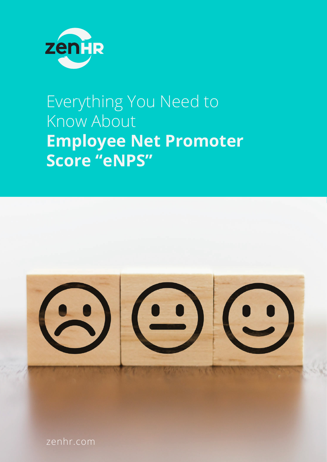

## Everything You Need to Know About **Employee Net Promoter Score "eNPS"**



zenhr.com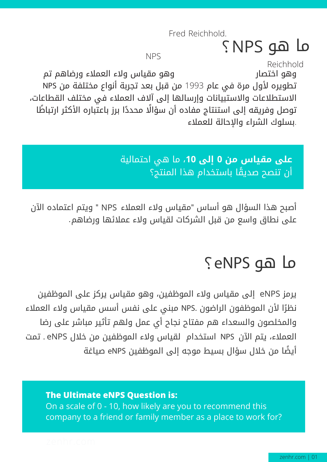Fred Reichhold.

### ما هو ?NPS

NPS

وهو اختصار وهو مقياس ولاء العملاء ورضاهم تم تطويره لأول مرة في عام 1993 من قبل بعد تجربة أنواع مختلفة من NPS الاستطلاعات والاستبيانات وإرسالها إلى آلاف العملاء في مختلف القطاعات، توصل وفريقه إلى استنتاج مفاده أن سؤالًا محددًا برز باعتباره الأكثر ارتباطًا .بسلوك الشراء والإحالة للعملاء Reichhold

> **على مقياس من 0 إلى** ،**10** ما هي احتمالية ً أن تنصح صديقا باستخدام هذا المنتج؟

أصبح هذا السؤال هو أساس "مقياس ولاء العملاء " ويتم اعتماده الآن NPS على نطاق واسع من قبل الشركات لقياس ولاء عملائها ورضاهم .

### ما هو ?eNPS

يرمز eNPS إلى مقياس ولاء الموظفين، وهو مقياس يركز على الموظفين ً ا لأن الموظفون الراضون .NPS مبني على نفس أسس مقياس ولاء العملاء نظر والمخلصون والسعداء هم مفتاح نجاح أي عمل ولهم تأثير مباشر على رضا العملاء، يتم الآن NPS استخدام لقياس ولاء الموظفين من خلال eNPS . تمت ً أيضا من خلال سؤال بسيط موجه إلى الموظفين eNPS صياغة :

#### **The Ultimate eNPS Question is:**

On a scale of 0 - 10, how likely are you to recommend this company to a friend or family member as a place to work for?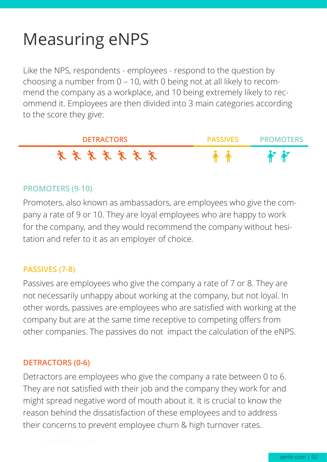# Measuring eNPS

Like the NPS, respondents - employees - respond to the question by choosing a number from 0 – 10, with 0 being not at all likely to recommend the company as a workplace, and 10 being extremely likely to recommend it. Employees are then divided into 3 main categories according to the score they give:



#### **PROMOTERS (9-10)**

Promoters, also known as ambassadors, are employees who give the company a rate of 9 or 10. They are loyal employees who are happy to work for the company, and they would recommend the company without hesitation and refer to it as an employer of choice.

#### **PASSIVES (7-8)**

Passives are employees who give the company a rate of 7 or 8. They are not necessarily unhappy about working at the company, but not loyal. In other words, passives are employees who are satisfied with working at the company but are at the same time receptive to competing offers from other companies. The passives do not impact the calculation of the eNPS.

#### **DETRACTORS (0-6)**

Detractors are employees who give the company a rate between 0 to 6. They are not satisfied with their job and the company they work for and might spread negative word of mouth about it. It is crucial to know the reason behind the dissatisfaction of these employees and to address their concerns to prevent employee churn & high turnover rates.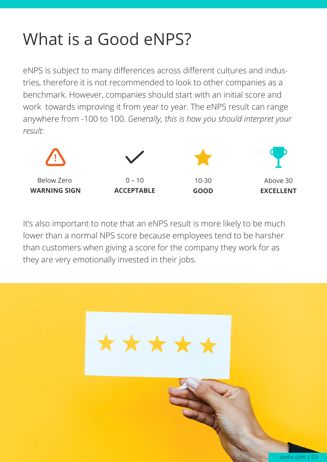# What is a Good eNPS?

eNPS is subject to many differences across different cultures and industries, therefore it is not recommended to look to other companies as a benchmark. However, companies should start with an initial score and work towards improving it from year to year. The eNPS result can range anywhere from -100 to 100. *Generally, this is how you should interpret your result:*



It's also important to note that an eNPS result is more likely to be much lower than a normal NPS score because employees tend to be harsher than customers when giving a score for the company they work for as they are very emotionally invested in their jobs.

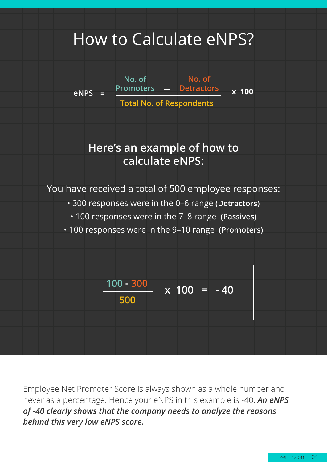### How to Calculate eNPS?



Employee Net Promoter Score is always shown as a whole number and never as a percentage. Hence your eNPS in this example is -40. *An eNPS of -40 clearly shows that the company needs to analyze the reasons behind this very low eNPS score.*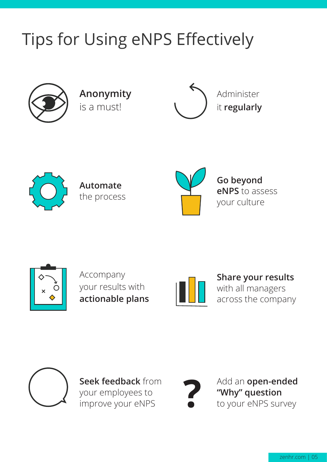# Tips for Using eNPS Effectively



**Anonymity** is a must!





**Automate** the process



**Go beyond eNPS** to assess your culture



Accompany your results with **actionable plans**



**Share your results** with all managers across the company



**Seek feedback** from your employees to improve your eNPS



Add an **open-ended "Why" question** to your eNPS survey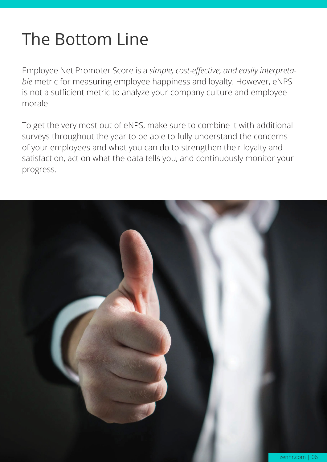# The Bottom Line

Employee Net Promoter Score is a *simple, cost-effective, and easily interpretable* metric for measuring employee happiness and loyalty. However, eNPS is not a sufficient metric to analyze your company culture and employee morale.

To get the very most out of eNPS, make sure to combine it with additional surveys throughout the year to be able to fully understand the concerns of your employees and what you can do to strengthen their loyalty and satisfaction, act on what the data tells you, and continuously monitor your progress.